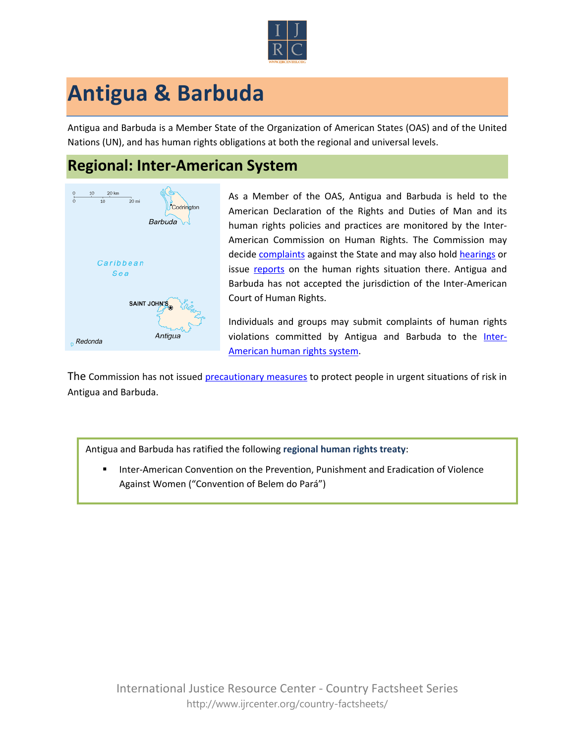

## **Antigua & Barbuda**

Antigua and Barbuda is a Member State of the Organization of American States (OAS) and of the United Nations (UN), and has human rights obligations at both the regional and universal levels.

## **Regional: Inter-American System**



As a Member of the OAS, Antigua and Barbuda is held to the American Declaration of the Rights and Duties of Man and its human rights policies and practices are monitored by the Inter-American Commission on Human Rights. The Commission may decide [complaints](http://www.oas.org/en/iachr/decisions/merits.asp) against the State and may also hold [hearings](http://www.oas.org/es/cidh/audiencias/advanced.aspx?lang=en) or issue [reports](http://www.oas.org/en/iachr/reports/country.asp) on the human rights situation there. Antigua and Barbuda has not accepted the jurisdiction of the Inter-American Court of Human Rights.

Individuals and groups may submit complaints of human rights violations committed by Antigua and Barbuda to the [Inter-](http://www.ijrcenter.org/regional/inter-american-system/)[American human rights system.](http://www.ijrcenter.org/regional/inter-american-system/)

The Commission has not issued [precautionary measures](http://www.oas.org/en/iachr/decisions/precautionary.asp) to protect people in urgent situations of risk in Antigua and Barbuda.

Antigua and Barbuda has ratified the following **regional human rights treaty**:

 Inter-American Convention on the Prevention, Punishment and Eradication of Violence Against Women ("Convention of Belem do Pará")